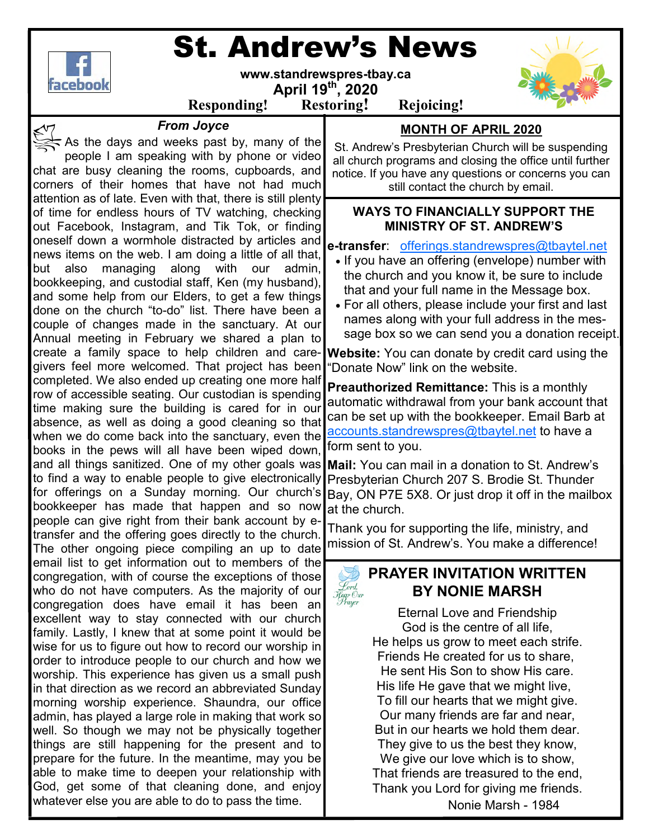

# St. Andrew's News

**www.standrewspres-tbay.ca April 19th, 2020** 



## **Responding! Restoring! Rejoicing!**

## *From Joyce*

As the days and weeks past by, many of the people I am speaking with by phone or video chat are busy cleaning the rooms, cupboards, and corners of their homes that have not had much attention as of late. Even with that, there is still plenty of time for endless hours of TV watching, checking out Facebook, Instagram, and Tik Tok, or finding oneself down a wormhole distracted by articles and news items on the web. I am doing a little of all that, but also managing along with our admin, bookkeeping, and custodial staff, Ken (my husband), and some help from our Elders, to get a few things done on the church "to-do" list. There have been a couple of changes made in the sanctuary. At our Annual meeting in February we shared a plan to create a family space to help children and caregivers feel more welcomed. That project has been completed. We also ended up creating one more half row of accessible seating. Our custodian is spending time making sure the building is cared for in our absence, as well as doing a good cleaning so that when we do come back into the sanctuary, even the books in the pews will all have been wiped down, and all things sanitized. One of my other goals was to find a way to enable people to give electronically Presbyterian Church 207 S. Brodie St. Thunder for offerings on a Sunday morning. Our church's bookkeeper has made that happen and so now people can give right from their bank account by etransfer and the offering goes directly to the church. The other ongoing piece compiling an up to date email list to get information out to members of the congregation, with of course the exceptions of those who do not have computers. As the majority of our congregation does have email it has been an excellent way to stay connected with our church family. Lastly, I knew that at some point it would be wise for us to figure out how to record our worship in order to introduce people to our church and how we worship. This experience has given us a small push in that direction as we record an abbreviated Sunday morning worship experience. Shaundra, our office admin, has played a large role in making that work so well. So though we may not be physically together things are still happening for the present and to prepare for the future. In the meantime, may you be able to make time to deepen your relationship with God, get some of that cleaning done, and enjoy whatever else you are able to do to pass the time.

#### **MONTH OF APRIL 2020**

St. Andrew's Presbyterian Church will be suspending all church programs and closing the office until further notice. If you have any questions or concerns you can still contact the church by email.

#### **WAYS TO FINANCIALLY SUPPORT THE MINISTRY OF ST. ANDREW'S**

#### **e-transfer**: offerings.standrewspres@tbaytel.net

- If you have an offering (envelope) number with the church and you know it, be sure to include that and your full name in the Message box.
- For all others, please include your first and last names along with your full address in the message box so we can send you a donation receipt.

**Website:** You can donate by credit card using the "Donate Now" link on the website.

**Preauthorized Remittance:** This is a monthly automatic withdrawal from your bank account that can be set up with the bookkeeper. Email Barb at accounts.standrewspres@tbaytel.net to have a form sent to you.

**Mail:** You can mail in a donation to St. Andrew's Bay, ON P7E 5X8. Or just drop it off in the mailbox at the church.

Thank you for supporting the life, ministry, and mission of St. Andrew's. You make a difference!

Lord.

#### **PRAYER INVITATION WRITTEN BY NONIE MARSH**

Eternal Love and Friendship God is the centre of all life, He helps us grow to meet each strife. Friends He created for us to share, He sent His Son to show His care. His life He gave that we might live, To fill our hearts that we might give. Our many friends are far and near, But in our hearts we hold them dear. They give to us the best they know, We give our love which is to show, That friends are treasured to the end, Thank you Lord for giving me friends. Nonie Marsh - 1984